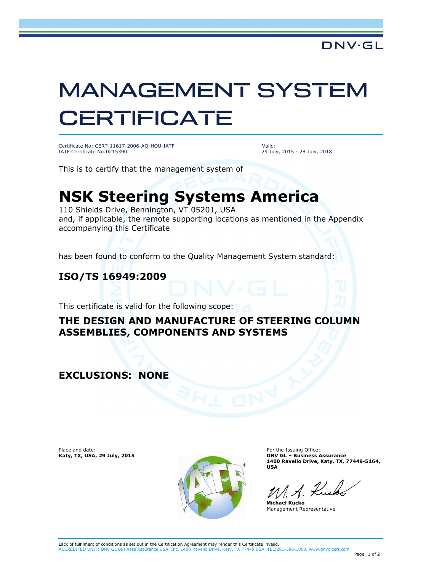# MANAGEMENT SYSTEM **CERTIFICATE**

Certificate No: CERT-11617-2006-AQ-HOU-IATF IATF Certificate No:0215390

Valid: 29 July, 2015 - 28 July, 2018

This is to certify that the management system of

## **NSK Steering Systems America**

110 Shields Drive, Bennington, VT 05201, USA and, if applicable, the remote supporting locations as mentioned in the Appendix accompanying this Certificate

has been found to conform to the Quality Management System standard:

#### **ISO/TS 16949:2009**

This certificate is valid for the following scope:

#### **THE DESIGN AND MANUFACTURE OF STEERING COLUMN ASSEMBLIES, COMPONENTS AND SYSTEMS**

**EXCLUSIONS: NONE**

Place and date: **Katy, TX, USA, 29 July, 2015**



For the Issuing Office: **DNV GL – Business Assurance 1400 Ravello Drive, Katy, TX, 77449-5164, USA**

**Michael Kucko** Management Representative